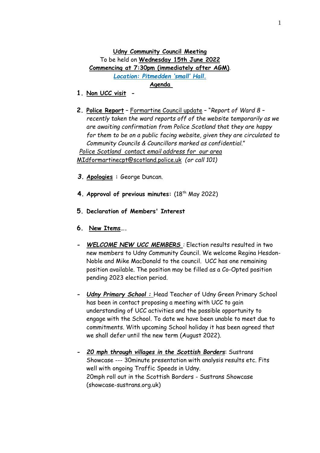**Udny Community Council Meeting** To be held on **Wednesday 15th June 2022 Commencing at 7:30pm (immediately after AGM)**. *Location: Pitmedden 'small' Hall.* **Agenda** 

- **1. Non UCC visit -**
- **2. Police Report** Formartine Council update "*Report of Ward 8 – recently taken the ward reports off of the website temporarily as we are awaiting confirmation from Police Scotland that they are happy for them to be on a public facing website, given they are circulated to Community Councils & Councillors marked as confidential*." *Police Scotland contact email address for our area* [MIdformartinecpt@scotland.police.uk](mailto:MIdformartinecpt@scotland.police.uk) *(or call 101)*
- *3.* **Apologies :** George Duncan.
- **4. Approval of previous minutes:** (18 th May 2022)
- **5. Declaration of Members' Interest**
- **6. New Items….**
- **-** *WELCOME NEW UCC MEMBERS :* Election results resulted in two new members to Udny Community Council. We welcome Regina Hesdon-Noble and Mike MacDonald to the council. UCC has one remaining position available. The position may be filled as a Co-Opted position pending 2023 election period.
- **-** *Udny Primary School :* Head Teacher of Udny Green Primary School has been in contact proposing a meeting with UCC to gain understanding of UCC activities and the possible opportunity to engage with the School. To date we have been unable to meet due to commitments. With upcoming School holiday it has been agreed that we shall defer until the new term (August 2022).
- **-** *20 mph through villages in the Scottish Borders*: Sustrans Showcase --- 30minute presentation with analysis results etc. Fits well with ongoing Traffic Speeds in Udny. [20mph roll out in the Scottish Borders -](https://www.showcase-sustrans.org.uk/news/20mph-roll-out-in-the-scottish-borders/) Sustrans Showcase [\(showcase-sustrans.org.uk\)](https://www.showcase-sustrans.org.uk/news/20mph-roll-out-in-the-scottish-borders/)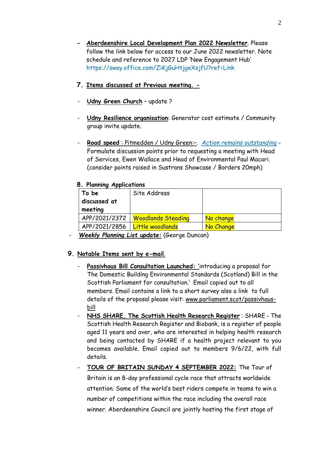- **- Aberdeenshire Local Development Plan 2022 Newsletter**. Please follow the link below for access to our June 2022 newsletter. Note schedule and reference to 2027 LDP 'New Engagement Hub' <https://sway.office.com/ZiKjGuHtjgeXsjfU?ref=Link>
- **7. Items discussed at Previous meeting. -**
- **Udny Green Church** update ?
- **Udny Resilience organisation**: Generator cost estimate / Community group invite update.
- **Road speed** : Pitmedden / Udny Green:–*. Action remains outstanding -* Formulate discussion points prior to requesting a meeting with Head of Services, Ewen Wallace and Head of Environmental Paul Macari. (consider points raised in Sustrans Showcase / Borders 20mph)

## **8. Planning Applications**

| U. Turimiy Applications |                           |           |
|-------------------------|---------------------------|-----------|
| To be                   | Site Address              |           |
| discussed at            |                           |           |
| meeting                 |                           |           |
| APP/2021/2372           | <b>Woodlands Steading</b> | No change |
| APP/2021/2856           | <u>  Little woodlands</u> | No Change |
|                         |                           |           |

- *Weekly Planning List update:* (George Duncan)

## **9. Notable Items sent by e-mail**.

- **Passivhaus Bill Consultation Launched: '**introducing a proposal for The Domestic Building Environmental Standards (Scotland) Bill in the Scottish Parliament for consultation.' Email copied out to all members. Email contains a link to a short survey also a link to full details of the proposal please visit: [www.parliament.scot/passivhaus](http://www.parliament.scot/passivhaus-bill)[bill](http://www.parliament.scot/passivhaus-bill)
- **NHS SHARE, The Scottish Health Research Register** : SHARE The Scottish Health Research Register and Biobank, is a register of people aged 11 years and over, who are interested in helping health research and being contacted by SHARE if a health project relevant to you becomes available. Email copied out to members 9/6/22, with full details.
- **TOUR OF BRITAIN SUNDAY 4 SEPTEMBER 2022:** The Tour of Britain is an 8-day professional cycle race that attracts worldwide attention. Some of the world's best riders compete in teams to win a number of competitions within the race including the overall race winner. Aberdeenshire Council are jointly hosting the first stage of